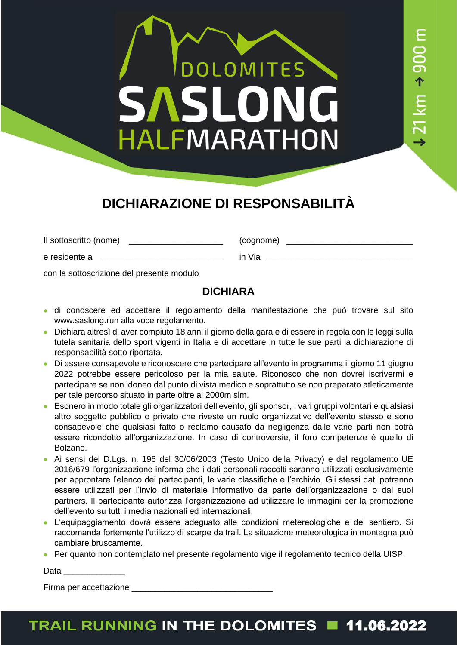# **OLOMITES** SAS HALFMARATHON

 $21 \text{ km}$   $\rightarrow$  900 m

#### **DICHIARAZIONE DI RESPONSABILITÀ**

Il sottoscritto (nome) \_\_\_\_\_\_\_\_\_\_\_\_\_\_\_\_\_\_\_\_\_\_\_\_\_\_\_ (cognome) \_\_\_\_\_\_\_\_\_\_\_\_\_\_\_\_\_\_\_

e residente a contra contra un contra in Via contra contra un via contra contra un via contra contra contra un

con la sottoscrizione del presente modulo

#### **DICHIARA**

- di conoscere ed accettare il regolamento della manifestazione che può trovare sul sito www.saslong.run alla voce regolamento.
- Dichiara altresì di aver compiuto 18 anni il giorno della gara e di essere in regola con le leggi sulla tutela sanitaria dello sport vigenti in Italia e di accettare in tutte le sue parti la dichiarazione di responsabilità sotto riportata.
- Di essere consapevole e riconoscere che partecipare all'evento in programma il giorno 11 giugno 2022 potrebbe essere pericoloso per la mia salute. Riconosco che non dovrei iscrivermi e partecipare se non idoneo dal punto di vista medico e soprattutto se non preparato atleticamente per tale percorso situato in parte oltre ai 2000m slm.
- Esonero in modo totale gli organizzatori dell'evento, gli sponsor, i vari gruppi volontari e qualsiasi altro soggetto pubblico o privato che riveste un ruolo organizzativo dell'evento stesso e sono consapevole che qualsiasi fatto o reclamo causato da negligenza dalle varie parti non potrà essere ricondotto all'organizzazione. In caso di controversie, il foro competenze è quello di Bolzano.
- Ai sensi del D.Lgs. n. 196 del 30/06/2003 (Testo Unico della Privacy) e del regolamento UE 2016/679 l'organizzazione informa che i dati personali raccolti saranno utilizzati esclusivamente per approntare l'elenco dei partecipanti, le varie classifiche e l'archivio. Gli stessi dati potranno essere utilizzati per l'invio di materiale informativo da parte dell'organizzazione o dai suoi partners. Il partecipante autorizza l'organizzazione ad utilizzare le immagini per la promozione dell'evento su tutti i media nazionali ed internazionali
- L'equipaggiamento dovrà essere adeguato alle condizioni metereologiche e del sentiero. Si raccomanda fortemente l'utilizzo di scarpe da trail. La situazione meteorologica in montagna può cambiare bruscamente.
- Per quanto non contemplato nel presente regolamento vige il regolamento tecnico della UISP.

Data **Data** 

Firma per accettazione entre all'altres della contratta di unitato di unitato di unitato di unitato di unitato

#### TRAIL RUNNING IN THE DOLOMITES 11.06.2022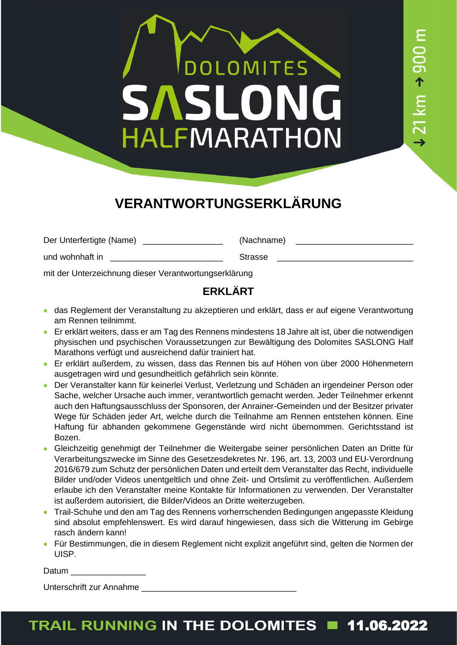### DOLOMITES **SASLO** ON HALFMARATHON

 $21 \text{ km} \rightarrow 900 \text{ m}$ 

### **VERANTWORTUNGSERKLÄRUNG**

Der Unterfertigte (Name) and the set of the Chamber (Nachname) and the Chamber (Nachname) and the Chamber of the Chamber of the Chamber of the Chamber of the Chamber of the Chamber of the Chamber of the Chamber of the Cham

und wohnhaft in **Example 2018** Strasse

mit der Unterzeichnung dieser Verantwortungserklärung

#### **ERKLÄRT**

- das Reglement der Veranstaltung zu akzeptieren und erklärt, dass er auf eigene Verantwortung am Rennen teilnimmt.
- Er erklärt weiters, dass er am Tag des Rennens mindestens 18 Jahre alt ist, über die notwendigen physischen und psychischen Voraussetzungen zur Bewältigung des Dolomites SASLONG Half Marathons verfügt und ausreichend dafür trainiert hat.
- Er erklärt außerdem, zu wissen, dass das Rennen bis auf Höhen von über 2000 Höhenmetern ausgetragen wird und gesundheitlich gefährlich sein könnte.
- Der Veranstalter kann für keinerlei Verlust, Verletzung und Schäden an irgendeiner Person oder Sache, welcher Ursache auch immer, verantwortlich gemacht werden. Jeder Teilnehmer erkennt auch den Haftungsausschluss der Sponsoren, der Anrainer-Gemeinden und der Besitzer privater Wege für Schäden jeder Art, welche durch die Teilnahme am Rennen entstehen können. Eine Haftung für abhanden gekommene Gegenstände wird nicht übernommen. Gerichtsstand ist Bozen.
- Gleichzeitig genehmigt der Teilnehmer die Weitergabe seiner persönlichen Daten an Dritte für Verarbeitungszwecke im Sinne des Gesetzesdekretes Nr. 196, art. 13, 2003 und EU-Verordnung 2016/679 zum Schutz der persönlichen Daten und erteilt dem Veranstalter das Recht, individuelle Bilder und/oder Videos unentgeltlich und ohne Zeit- und Ortslimit zu veröffentlichen. Außerdem erlaube ich den Veranstalter meine Kontakte für Informationen zu verwenden. Der Veranstalter ist außerdem autorisiert, die Bilder/Videos an Dritte weiterzugeben.
- Trail-Schuhe und den am Tag des Rennens vorherrschenden Bedingungen angepasste Kleidung sind absolut empfehlenswert. Es wird darauf hingewiesen, dass sich die Witterung im Gebirge rasch ändern kann!
- Für Bestimmungen, die in diesem Reglement nicht explizit angeführt sind, gelten die Normen der UISP.

| Datum |
|-------|
|-------|

Unterschrift zur Annahme

#### TRAIL RUNNING IN THE DOLOMITES **11.06.2022**